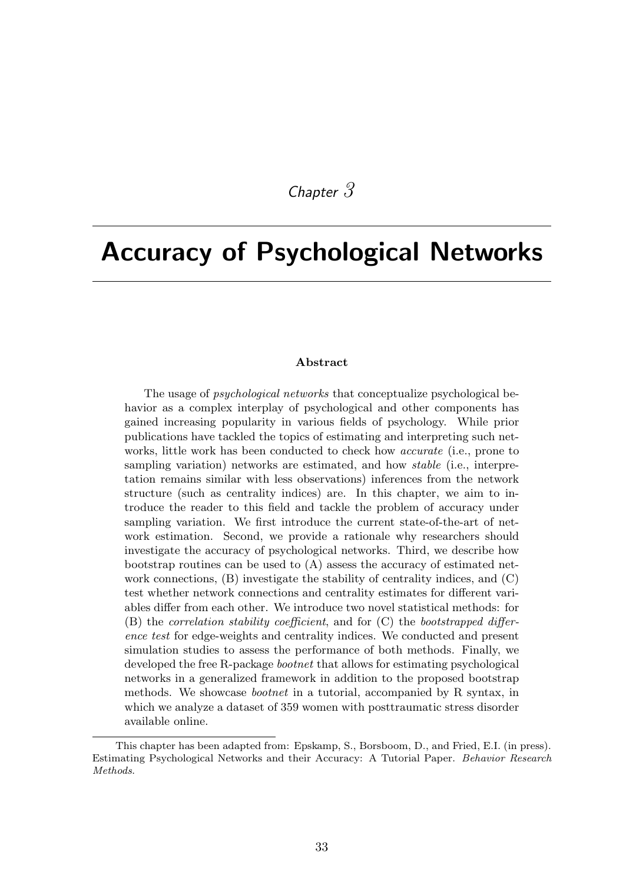# *Chapter 3*

# Accuracy of Psychological Networks

#### Abstract

The usage of *psychological networks* that conceptualize psychological behavior as a complex interplay of psychological and other components has gained increasing popularity in various fields of psychology. While prior publications have tackled the topics of estimating and interpreting such networks, little work has been conducted to check how *accurate* (i.e., prone to sampling variation) networks are estimated, and how *stable* (i.e., interpretation remains similar with less observations) inferences from the network structure (such as centrality indices) are. In this chapter, we aim to introduce the reader to this field and tackle the problem of accuracy under sampling variation. We first introduce the current state-of-the-art of network estimation. Second, we provide a rationale why researchers should investigate the accuracy of psychological networks. Third, we describe how bootstrap routines can be used to (A) assess the accuracy of estimated network connections, (B) investigate the stability of centrality indices, and (C) test whether network connections and centrality estimates for different variables differ from each other. We introduce two novel statistical methods: for (B) the *correlation stability coefficient*, and for (C) the *bootstrapped difference test* for edge-weights and centrality indices. We conducted and present simulation studies to assess the performance of both methods. Finally, we developed the free R-package *bootnet* that allows for estimating psychological networks in a generalized framework in addition to the proposed bootstrap methods. We showcase *bootnet* in a tutorial, accompanied by R syntax, in which we analyze a dataset of 359 women with posttraumatic stress disorder available online.

This chapter has been adapted from: Epskamp, S., Borsboom, D., and Fried, E.I. (in press). Estimating Psychological Networks and their Accuracy: A Tutorial Paper. *Behavior Research Methods*.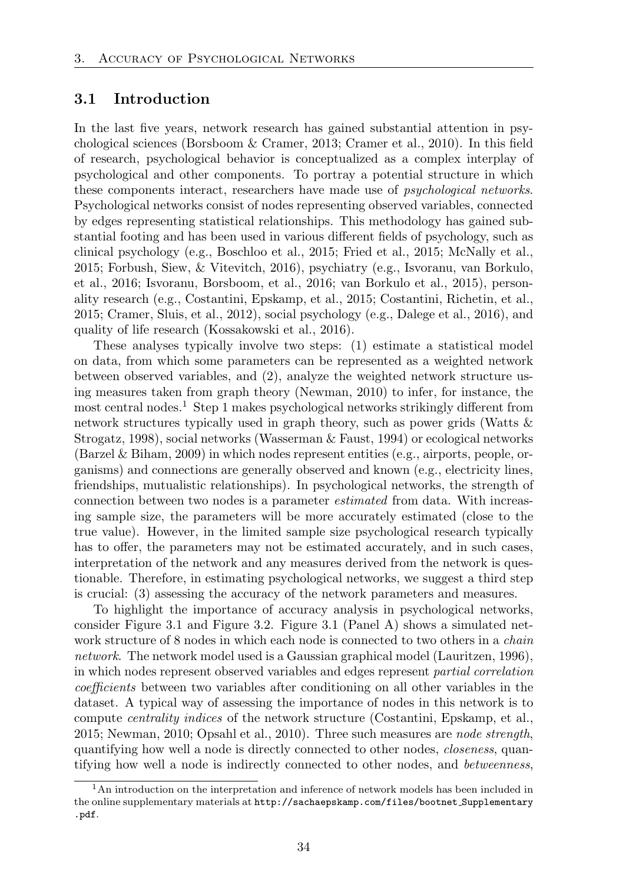# 3.1 Introduction

In the last five years, network research has gained substantial attention in psychological sciences (Borsboom & Cramer, 2013; Cramer et al., 2010). In this field of research, psychological behavior is conceptualized as a complex interplay of psychological and other components. To portray a potential structure in which these components interact, researchers have made use of *psychological networks*. Psychological networks consist of nodes representing observed variables, connected by edges representing statistical relationships. This methodology has gained substantial footing and has been used in various different fields of psychology, such as clinical psychology (e.g., Boschloo et al., 2015; Fried et al., 2015; McNally et al., 2015; Forbush, Siew, & Vitevitch, 2016), psychiatry (e.g., Isvoranu, van Borkulo, et al., 2016; Isvoranu, Borsboom, et al., 2016; van Borkulo et al., 2015), personality research (e.g., Costantini, Epskamp, et al., 2015; Costantini, Richetin, et al., 2015; Cramer, Sluis, et al., 2012), social psychology (e.g., Dalege et al., 2016), and quality of life research (Kossakowski et al., 2016).

These analyses typically involve two steps: (1) estimate a statistical model on data, from which some parameters can be represented as a weighted network between observed variables, and (2), analyze the weighted network structure using measures taken from graph theory (Newman, 2010) to infer, for instance, the most central nodes.<sup>1</sup> Step 1 makes psychological networks strikingly different from network structures typically used in graph theory, such as power grids (Watts & Strogatz, 1998), social networks (Wasserman & Faust, 1994) or ecological networks (Barzel & Biham, 2009) in which nodes represent entities (e.g., airports, people, organisms) and connections are generally observed and known (e.g., electricity lines, friendships, mutualistic relationships). In psychological networks, the strength of connection between two nodes is a parameter *estimated* from data. With increasing sample size, the parameters will be more accurately estimated (close to the true value). However, in the limited sample size psychological research typically has to offer, the parameters may not be estimated accurately, and in such cases, interpretation of the network and any measures derived from the network is questionable. Therefore, in estimating psychological networks, we suggest a third step is crucial: (3) assessing the accuracy of the network parameters and measures.

To highlight the importance of accuracy analysis in psychological networks, consider Figure 3.1 and Figure 3.2. Figure 3.1 (Panel A) shows a simulated network structure of 8 nodes in which each node is connected to two others in a *chain network*. The network model used is a Gaussian graphical model (Lauritzen, 1996), in which nodes represent observed variables and edges represent *partial correlation coefficients* between two variables after conditioning on all other variables in the dataset. A typical way of assessing the importance of nodes in this network is to compute *centrality indices* of the network structure (Costantini, Epskamp, et al., 2015; Newman, 2010; Opsahl et al., 2010). Three such measures are *node strength*, quantifying how well a node is directly connected to other nodes, *closeness*, quantifying how well a node is indirectly connected to other nodes, and *betweenness*,

<sup>&</sup>lt;sup>1</sup>An introduction on the interpretation and inference of network models has been included in the online supplementary materials at http://sachaepskamp.com/files/bootnet Supplementary .pdf.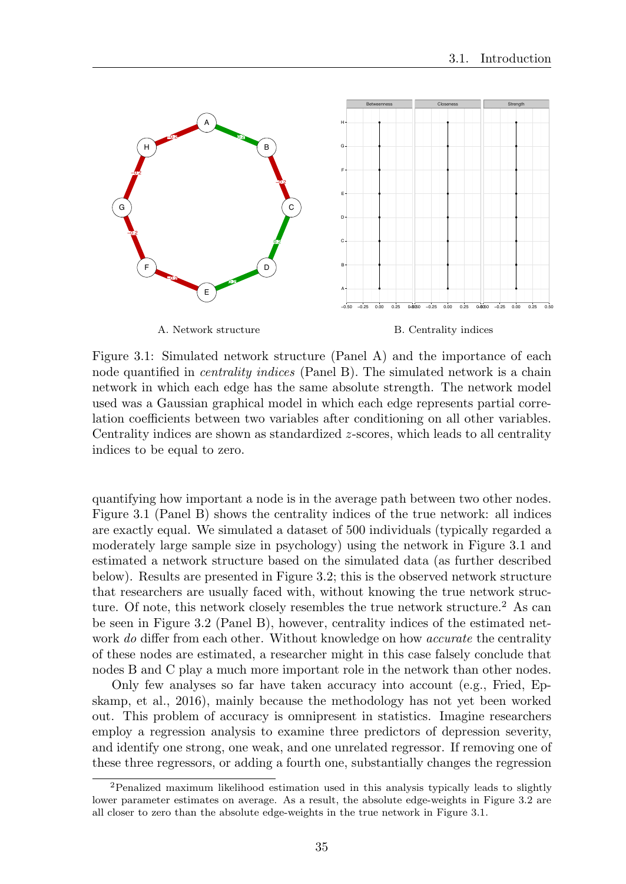

Figure 3.1: Simulated network structure (Panel A) and the importance of each node quantified in *centrality indices* (Panel B). The simulated network is a chain network in which each edge has the same absolute strength. The network model used was a Gaussian graphical model in which each edge represents partial correlation coefficients between two variables after conditioning on all other variables. Centrality indices are shown as standardized *z*-scores, which leads to all centrality indices to be equal to zero.

quantifying how important a node is in the average path between two other nodes. Figure 3.1 (Panel B) shows the centrality indices of the true network: all indices are exactly equal. We simulated a dataset of 500 individuals (typically regarded a moderately large sample size in psychology) using the network in Figure 3.1 and estimated a network structure based on the simulated data (as further described below). Results are presented in Figure 3.2; this is the observed network structure that researchers are usually faced with, without knowing the true network structure. Of note, this network closely resembles the true network structure.<sup>2</sup> As can be seen in Figure 3.2 (Panel B), however, centrality indices of the estimated network *do* differ from each other. Without knowledge on how *accurate* the centrality of these nodes are estimated, a researcher might in this case falsely conclude that nodes B and C play a much more important role in the network than other nodes.

Only few analyses so far have taken accuracy into account (e.g., Fried, Epskamp, et al., 2016), mainly because the methodology has not yet been worked out. This problem of accuracy is omnipresent in statistics. Imagine researchers employ a regression analysis to examine three predictors of depression severity, and identify one strong, one weak, and one unrelated regressor. If removing one of these three regressors, or adding a fourth one, substantially changes the regression

<sup>&</sup>lt;sup>2</sup>Penalized maximum likelihood estimation used in this analysis typically leads to slightly lower parameter estimates on average. As a result, the absolute edge-weights in Figure 3.2 are all closer to zero than the absolute edge-weights in the true network in Figure 3.1.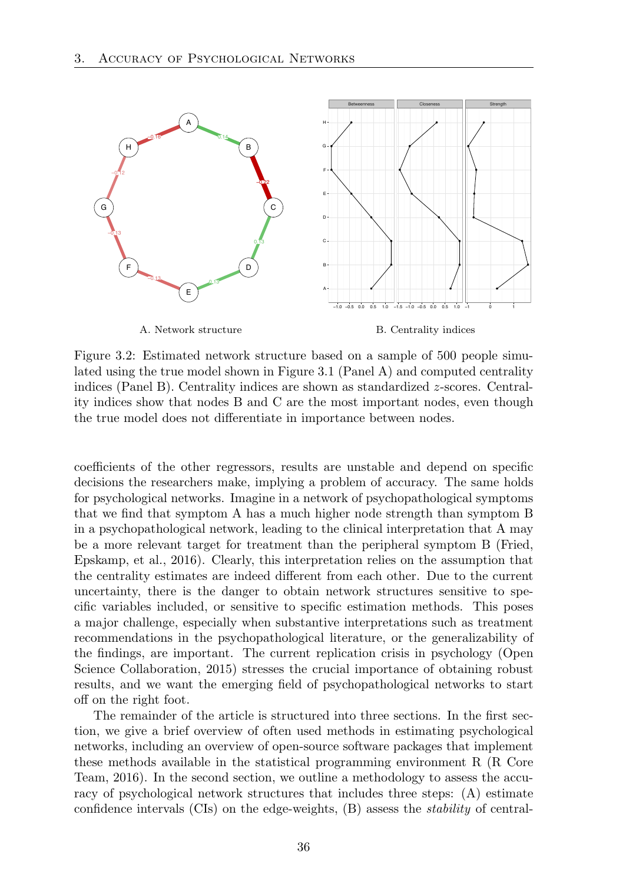

Figure 3.2: Estimated network structure based on a sample of 500 people simulated using the true model shown in Figure 3.1 (Panel A) and computed centrality indices (Panel B). Centrality indices are shown as standardized *z*-scores. Centrality indices show that nodes B and C are the most important nodes, even though the true model does not differentiate in importance between nodes.

coefficients of the other regressors, results are unstable and depend on specific decisions the researchers make, implying a problem of accuracy. The same holds for psychological networks. Imagine in a network of psychopathological symptoms that we find that symptom A has a much higher node strength than symptom B in a psychopathological network, leading to the clinical interpretation that A may be a more relevant target for treatment than the peripheral symptom B (Fried, Epskamp, et al., 2016). Clearly, this interpretation relies on the assumption that the centrality estimates are indeed different from each other. Due to the current uncertainty, there is the danger to obtain network structures sensitive to specific variables included, or sensitive to specific estimation methods. This poses a major challenge, especially when substantive interpretations such as treatment recommendations in the psychopathological literature, or the generalizability of the findings, are important. The current replication crisis in psychology (Open Science Collaboration, 2015) stresses the crucial importance of obtaining robust results, and we want the emerging field of psychopathological networks to start off on the right foot.

The remainder of the article is structured into three sections. In the first section, we give a brief overview of often used methods in estimating psychological networks, including an overview of open-source software packages that implement these methods available in the statistical programming environment R (R Core Team, 2016). In the second section, we outline a methodology to assess the accuracy of psychological network structures that includes three steps: (A) estimate confidence intervals (CIs) on the edge-weights, (B) assess the *stability* of central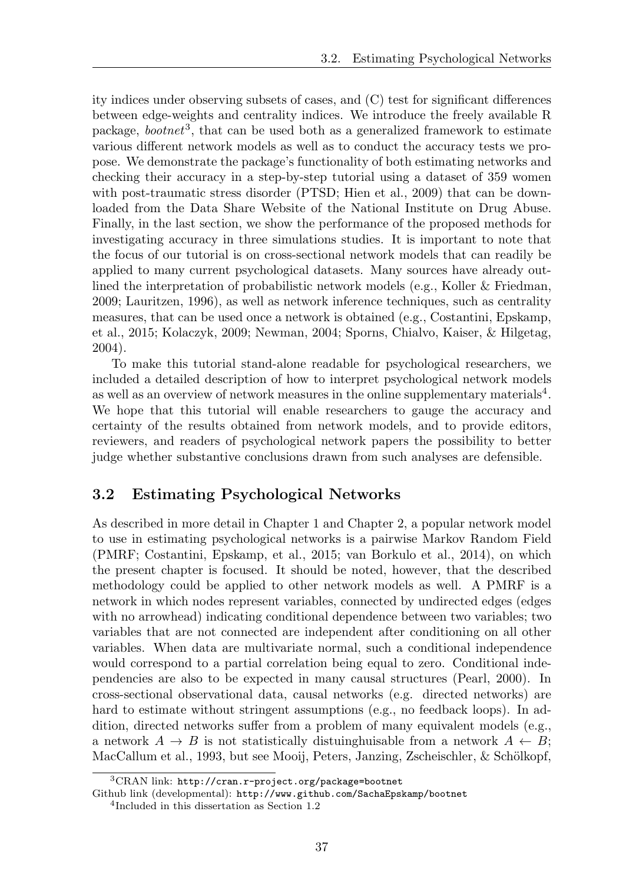ity indices under observing subsets of cases, and  $(C)$  test for significant differences between edge-weights and centrality indices. We introduce the freely available R package, *bootnet*3, that can be used both as a generalized framework to estimate various different network models as well as to conduct the accuracy tests we propose. We demonstrate the package's functionality of both estimating networks and checking their accuracy in a step-by-step tutorial using a dataset of 359 women with post-traumatic stress disorder (PTSD; Hien et al., 2009) that can be downloaded from the Data Share Website of the National Institute on Drug Abuse. Finally, in the last section, we show the performance of the proposed methods for investigating accuracy in three simulations studies. It is important to note that the focus of our tutorial is on cross-sectional network models that can readily be applied to many current psychological datasets. Many sources have already outlined the interpretation of probabilistic network models (e.g., Koller & Friedman, 2009; Lauritzen, 1996), as well as network inference techniques, such as centrality measures, that can be used once a network is obtained (e.g., Costantini, Epskamp, et al., 2015; Kolaczyk, 2009; Newman, 2004; Sporns, Chialvo, Kaiser, & Hilgetag, 2004).

To make this tutorial stand-alone readable for psychological researchers, we included a detailed description of how to interpret psychological network models as well as an overview of network measures in the online supplementary materials<sup>4</sup>. We hope that this tutorial will enable researchers to gauge the accuracy and certainty of the results obtained from network models, and to provide editors, reviewers, and readers of psychological network papers the possibility to better judge whether substantive conclusions drawn from such analyses are defensible.

# 3.2 Estimating Psychological Networks

As described in more detail in Chapter 1 and Chapter 2, a popular network model to use in estimating psychological networks is a pairwise Markov Random Field (PMRF; Costantini, Epskamp, et al., 2015; van Borkulo et al., 2014), on which the present chapter is focused. It should be noted, however, that the described methodology could be applied to other network models as well. A PMRF is a network in which nodes represent variables, connected by undirected edges (edges with no arrowhead) indicating conditional dependence between two variables; two variables that are not connected are independent after conditioning on all other variables. When data are multivariate normal, such a conditional independence would correspond to a partial correlation being equal to zero. Conditional independencies are also to be expected in many causal structures (Pearl, 2000). In cross-sectional observational data, causal networks (e.g. directed networks) are hard to estimate without stringent assumptions (e.g., no feedback loops). In addition, directed networks suffer from a problem of many equivalent models (e.g., a network  $A \rightarrow B$  is not statistically distuinghuisable from a network  $A \leftarrow B$ ; MacCallum et al., 1993, but see Mooij, Peters, Janzing, Zscheischler, & Schölkopf,

<sup>3</sup>CRAN link: http://cran.r-project.org/package=bootnet

Github link (developmental): http://www.github.com/SachaEpskamp/bootnet <sup>4</sup>Included in this dissertation as Section 1.2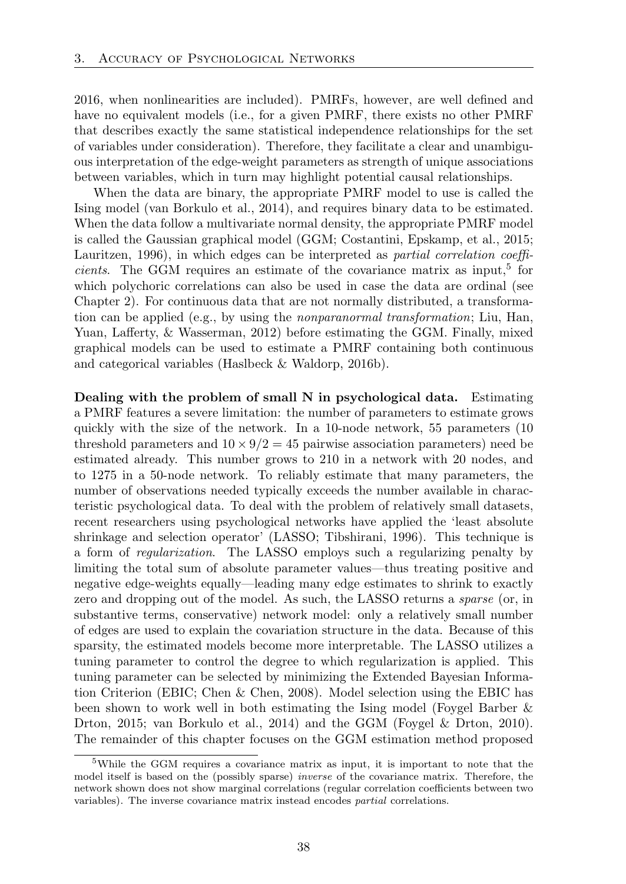2016, when nonlinearities are included). PMRFs, however, are well defined and have no equivalent models (i.e., for a given PMRF, there exists no other PMRF that describes exactly the same statistical independence relationships for the set of variables under consideration). Therefore, they facilitate a clear and unambiguous interpretation of the edge-weight parameters as strength of unique associations between variables, which in turn may highlight potential causal relationships.

When the data are binary, the appropriate PMRF model to use is called the Ising model (van Borkulo et al., 2014), and requires binary data to be estimated. When the data follow a multivariate normal density, the appropriate PMRF model is called the Gaussian graphical model (GGM; Costantini, Epskamp, et al., 2015; Lauritzen, 1996), in which edges can be interpreted as *partial correlation coefficients*. The GGM requires an estimate of the covariance matrix as input,<sup>5</sup> for which polychoric correlations can also be used in case the data are ordinal (see Chapter 2). For continuous data that are not normally distributed, a transformation can be applied (e.g., by using the *nonparanormal transformation*; Liu, Han, Yuan, Lafferty, & Wasserman, 2012) before estimating the GGM. Finally, mixed graphical models can be used to estimate a PMRF containing both continuous and categorical variables (Haslbeck & Waldorp, 2016b).

Dealing with the problem of small N in psychological data. Estimating a PMRF features a severe limitation: the number of parameters to estimate grows quickly with the size of the network. In a 10-node network, 55 parameters (10 threshold parameters and  $10 \times 9/2 = 45$  pairwise association parameters) need be estimated already. This number grows to 210 in a network with 20 nodes, and to 1275 in a 50-node network. To reliably estimate that many parameters, the number of observations needed typically exceeds the number available in characteristic psychological data. To deal with the problem of relatively small datasets, recent researchers using psychological networks have applied the 'least absolute shrinkage and selection operator' (LASSO; Tibshirani, 1996). This technique is a form of *regularization*. The LASSO employs such a regularizing penalty by limiting the total sum of absolute parameter values—thus treating positive and negative edge-weights equally—leading many edge estimates to shrink to exactly zero and dropping out of the model. As such, the LASSO returns a *sparse* (or, in substantive terms, conservative) network model: only a relatively small number of edges are used to explain the covariation structure in the data. Because of this sparsity, the estimated models become more interpretable. The LASSO utilizes a tuning parameter to control the degree to which regularization is applied. This tuning parameter can be selected by minimizing the Extended Bayesian Information Criterion (EBIC; Chen & Chen, 2008). Model selection using the EBIC has been shown to work well in both estimating the Ising model (Foygel Barber & Drton, 2015; van Borkulo et al., 2014) and the GGM (Foygel & Drton, 2010). The remainder of this chapter focuses on the GGM estimation method proposed

<sup>5</sup>While the GGM requires a covariance matrix as input, it is important to note that the model itself is based on the (possibly sparse) *inverse* of the covariance matrix. Therefore, the network shown does not show marginal correlations (regular correlation coefficients between two variables). The inverse covariance matrix instead encodes *partial* correlations.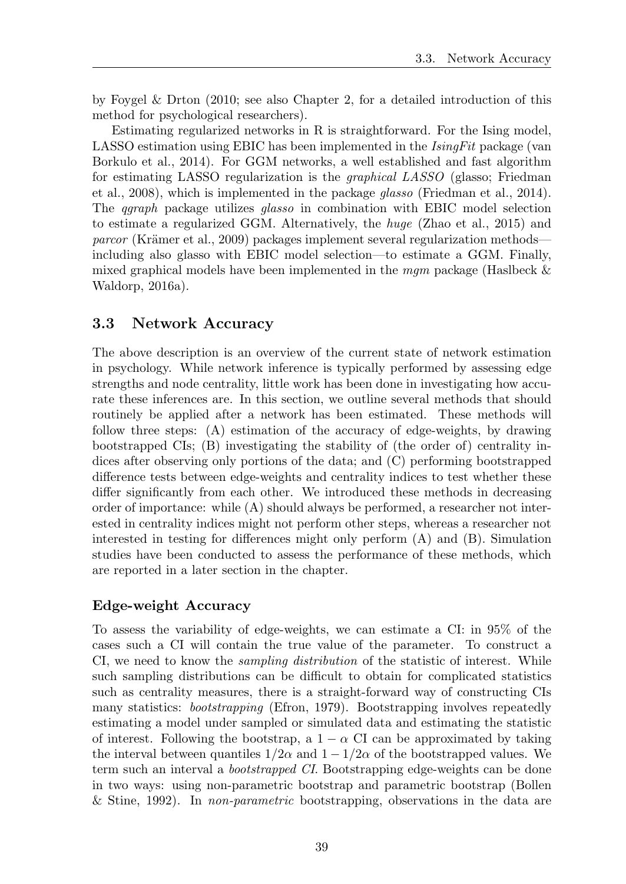by Foygel & Drton (2010; see also Chapter 2, for a detailed introduction of this method for psychological researchers).

Estimating regularized networks in R is straightforward. For the Ising model, LASSO estimation using EBIC has been implemented in the *IsingFit* package (van Borkulo et al., 2014). For GGM networks, a well established and fast algorithm for estimating LASSO regularization is the *graphical LASSO* (glasso; Friedman et al., 2008), which is implemented in the package *glasso* (Friedman et al., 2014). The *qgraph* package utilizes *glasso* in combination with EBIC model selection to estimate a regularized GGM. Alternatively, the *huge* (Zhao et al., 2015) and *parcor* (Krämer et al., 2009) packages implement several regularization methods including also glasso with EBIC model selection—to estimate a GGM. Finally, mixed graphical models have been implemented in the *mgm* package (Haslbeck & Waldorp, 2016a).

# 3.3 Network Accuracy

The above description is an overview of the current state of network estimation in psychology. While network inference is typically performed by assessing edge strengths and node centrality, little work has been done in investigating how accurate these inferences are. In this section, we outline several methods that should routinely be applied after a network has been estimated. These methods will follow three steps: (A) estimation of the accuracy of edge-weights, by drawing bootstrapped CIs; (B) investigating the stability of (the order of) centrality indices after observing only portions of the data; and (C) performing bootstrapped difference tests between edge-weights and centrality indices to test whether these differ significantly from each other. We introduced these methods in decreasing order of importance: while (A) should always be performed, a researcher not interested in centrality indices might not perform other steps, whereas a researcher not interested in testing for differences might only perform  $(A)$  and  $(B)$ . Simulation studies have been conducted to assess the performance of these methods, which are reported in a later section in the chapter.

## Edge-weight Accuracy

To assess the variability of edge-weights, we can estimate a CI: in 95% of the cases such a CI will contain the true value of the parameter. To construct a CI, we need to know the *sampling distribution* of the statistic of interest. While such sampling distributions can be difficult to obtain for complicated statistics such as centrality measures, there is a straight-forward way of constructing CIs many statistics: *bootstrapping* (Efron, 1979). Bootstrapping involves repeatedly estimating a model under sampled or simulated data and estimating the statistic of interest. Following the bootstrap, a  $1 - \alpha$  CI can be approximated by taking the interval between quantiles  $1/2\alpha$  and  $1 - 1/2\alpha$  of the bootstrapped values. We term such an interval a *bootstrapped CI*. Bootstrapping edge-weights can be done in two ways: using non-parametric bootstrap and parametric bootstrap (Bollen & Stine, 1992). In *non-parametric* bootstrapping, observations in the data are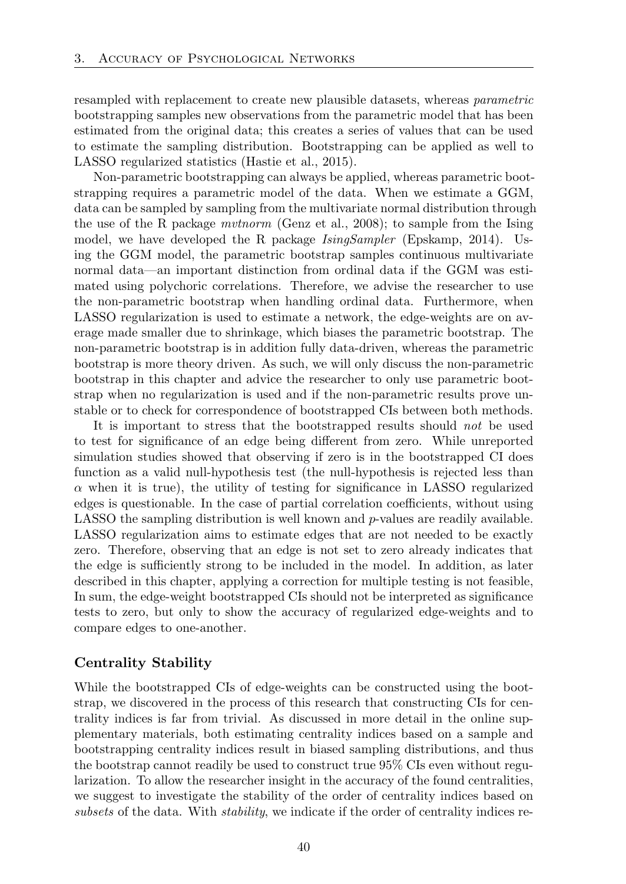resampled with replacement to create new plausible datasets, whereas *parametric* bootstrapping samples new observations from the parametric model that has been estimated from the original data; this creates a series of values that can be used to estimate the sampling distribution. Bootstrapping can be applied as well to LASSO regularized statistics (Hastie et al., 2015).

Non-parametric bootstrapping can always be applied, whereas parametric bootstrapping requires a parametric model of the data. When we estimate a GGM, data can be sampled by sampling from the multivariate normal distribution through the use of the R package *mvtnorm* (Genz et al., 2008); to sample from the Ising model, we have developed the R package *IsingSampler* (Epskamp, 2014). Using the GGM model, the parametric bootstrap samples continuous multivariate normal data—an important distinction from ordinal data if the GGM was estimated using polychoric correlations. Therefore, we advise the researcher to use the non-parametric bootstrap when handling ordinal data. Furthermore, when LASSO regularization is used to estimate a network, the edge-weights are on average made smaller due to shrinkage, which biases the parametric bootstrap. The non-parametric bootstrap is in addition fully data-driven, whereas the parametric bootstrap is more theory driven. As such, we will only discuss the non-parametric bootstrap in this chapter and advice the researcher to only use parametric bootstrap when no regularization is used and if the non-parametric results prove unstable or to check for correspondence of bootstrapped CIs between both methods.

It is important to stress that the bootstrapped results should *not* be used to test for significance of an edge being different from zero. While unreported simulation studies showed that observing if zero is in the bootstrapped CI does function as a valid null-hypothesis test (the null-hypothesis is rejected less than  $\alpha$  when it is true), the utility of testing for significance in LASSO regularized edges is questionable. In the case of partial correlation coefficients, without using LASSO the sampling distribution is well known and *p*-values are readily available. LASSO regularization aims to estimate edges that are not needed to be exactly zero. Therefore, observing that an edge is not set to zero already indicates that the edge is sufficiently strong to be included in the model. In addition, as later described in this chapter, applying a correction for multiple testing is not feasible, In sum, the edge-weight bootstrapped CIs should not be interpreted as significance tests to zero, but only to show the accuracy of regularized edge-weights and to compare edges to one-another.

#### Centrality Stability

While the bootstrapped CIs of edge-weights can be constructed using the bootstrap, we discovered in the process of this research that constructing CIs for centrality indices is far from trivial. As discussed in more detail in the online supplementary materials, both estimating centrality indices based on a sample and bootstrapping centrality indices result in biased sampling distributions, and thus the bootstrap cannot readily be used to construct true 95% CIs even without regularization. To allow the researcher insight in the accuracy of the found centralities, we suggest to investigate the stability of the order of centrality indices based on *subsets* of the data. With *stability*, we indicate if the order of centrality indices re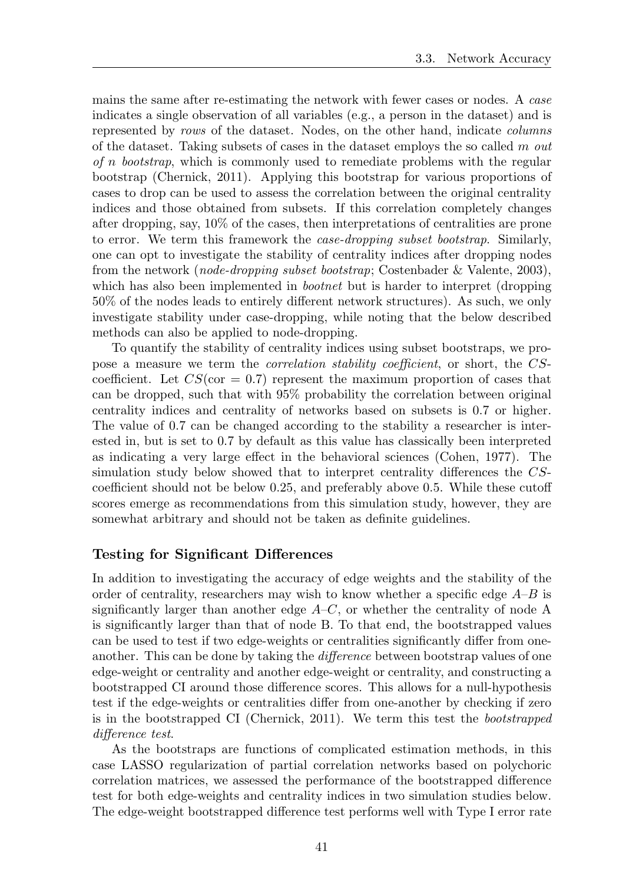mains the same after re-estimating the network with fewer cases or nodes. A *case* indicates a single observation of all variables (e.g., a person in the dataset) and is represented by *rows* of the dataset. Nodes, on the other hand, indicate *columns* of the dataset. Taking subsets of cases in the dataset employs the so called *m out of n bootstrap*, which is commonly used to remediate problems with the regular bootstrap (Chernick, 2011). Applying this bootstrap for various proportions of cases to drop can be used to assess the correlation between the original centrality indices and those obtained from subsets. If this correlation completely changes after dropping, say, 10% of the cases, then interpretations of centralities are prone to error. We term this framework the *case-dropping subset bootstrap*. Similarly, one can opt to investigate the stability of centrality indices after dropping nodes from the network (*node-dropping subset bootstrap*; Costenbader & Valente, 2003), which has also been implemented in *bootnet* but is harder to interpret (dropping  $50\%$  of the nodes leads to entirely different network structures). As such, we only investigate stability under case-dropping, while noting that the below described methods can also be applied to node-dropping.

To quantify the stability of centrality indices using subset bootstraps, we propose a measure we term the *correlation stability coefficient*, or short, the *CS*coefficient. Let  $CS$ (cor = 0.7) represent the maximum proportion of cases that can be dropped, such that with 95% probability the correlation between original centrality indices and centrality of networks based on subsets is 0*.*7 or higher. The value of 0*.*7 can be changed according to the stability a researcher is interested in, but is set to 0*.*7 by default as this value has classically been interpreted as indicating a very large effect in the behavioral sciences (Cohen, 1977). The simulation study below showed that to interpret centrality differences the  $CS$ coefficient should not be below 0.25, and preferably above 0.5. While these cutoff scores emerge as recommendations from this simulation study, however, they are somewhat arbitrary and should not be taken as definite guidelines.

#### Testing for Significant Differences

In addition to investigating the accuracy of edge weights and the stability of the order of centrality, researchers may wish to know whether a specific edge *A*–*B* is significantly larger than another edge  $A-C$ , or whether the centrality of node A is significantly larger than that of node B. To that end, the bootstrapped values can be used to test if two edge-weights or centralities significantly differ from oneanother. This can be done by taking the *difference* between bootstrap values of one edge-weight or centrality and another edge-weight or centrality, and constructing a bootstrapped CI around those difference scores. This allows for a null-hypothesis test if the edge-weights or centralities differ from one-another by checking if zero is in the bootstrapped CI (Chernick, 2011). We term this test the *bootstrapped difference test.* 

As the bootstraps are functions of complicated estimation methods, in this case LASSO regularization of partial correlation networks based on polychoric correlation matrices, we assessed the performance of the bootstrapped difference test for both edge-weights and centrality indices in two simulation studies below. The edge-weight bootstrapped difference test performs well with Type I error rate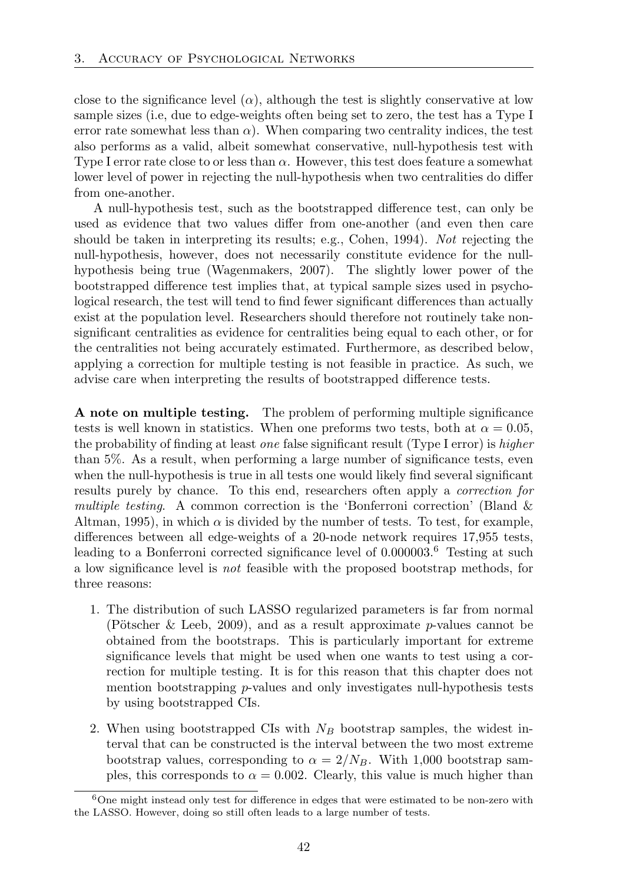close to the significance level  $(\alpha)$ , although the test is slightly conservative at low sample sizes (i.e, due to edge-weights often being set to zero, the test has a Type I error rate somewhat less than  $\alpha$ ). When comparing two centrality indices, the test also performs as a valid, albeit somewhat conservative, null-hypothesis test with Type I error rate close to or less than  $\alpha$ . However, this test does feature a somewhat lower level of power in rejecting the null-hypothesis when two centralities do differ from one-another.

A null-hypothesis test, such as the bootstrapped difference test, can only be used as evidence that two values differ from one-another (and even then care should be taken in interpreting its results; e.g., Cohen, 1994). *Not* rejecting the null-hypothesis, however, does not necessarily constitute evidence for the nullhypothesis being true (Wagenmakers, 2007). The slightly lower power of the bootstrapped difference test implies that, at typical sample sizes used in psychological research, the test will tend to find fewer significant differences than actually exist at the population level. Researchers should therefore not routinely take nonsignificant centralities as evidence for centralities being equal to each other, or for the centralities not being accurately estimated. Furthermore, as described below, applying a correction for multiple testing is not feasible in practice. As such, we advise care when interpreting the results of bootstrapped difference tests.

A note on multiple testing. The problem of performing multiple significance tests is well known in statistics. When one preforms two tests, both at  $\alpha = 0.05$ , the probability of finding at least *one* false significant result (Type I error) is *higher* than 5%. As a result, when performing a large number of significance tests, even when the null-hypothesis is true in all tests one would likely find several significant results purely by chance. To this end, researchers often apply a *correction for multiple testing*. A common correction is the 'Bonferroni correction' (Bland & Altman, 1995), in which  $\alpha$  is divided by the number of tests. To test, for example, differences between all edge-weights of a 20-node network requires 17,955 tests, leading to a Bonferroni corrected significance level of 0*.*000003.<sup>6</sup> Testing at such a low significance level is *not* feasible with the proposed bootstrap methods, for three reasons:

- 1. The distribution of such LASSO regularized parameters is far from normal (Pötscher & Leeb, 2009), and as a result approximate  $p$ -values cannot be obtained from the bootstraps. This is particularly important for extreme significance levels that might be used when one wants to test using a correction for multiple testing. It is for this reason that this chapter does not mention bootstrapping *p*-values and only investigates null-hypothesis tests by using bootstrapped CIs.
- 2. When using bootstrapped CIs with *N<sup>B</sup>* bootstrap samples, the widest interval that can be constructed is the interval between the two most extreme bootstrap values, corresponding to  $\alpha = 2/N_B$ . With 1,000 bootstrap samples, this corresponds to  $\alpha = 0.002$ . Clearly, this value is much higher than

 $6$ One might instead only test for difference in edges that were estimated to be non-zero with the LASSO. However, doing so still often leads to a large number of tests.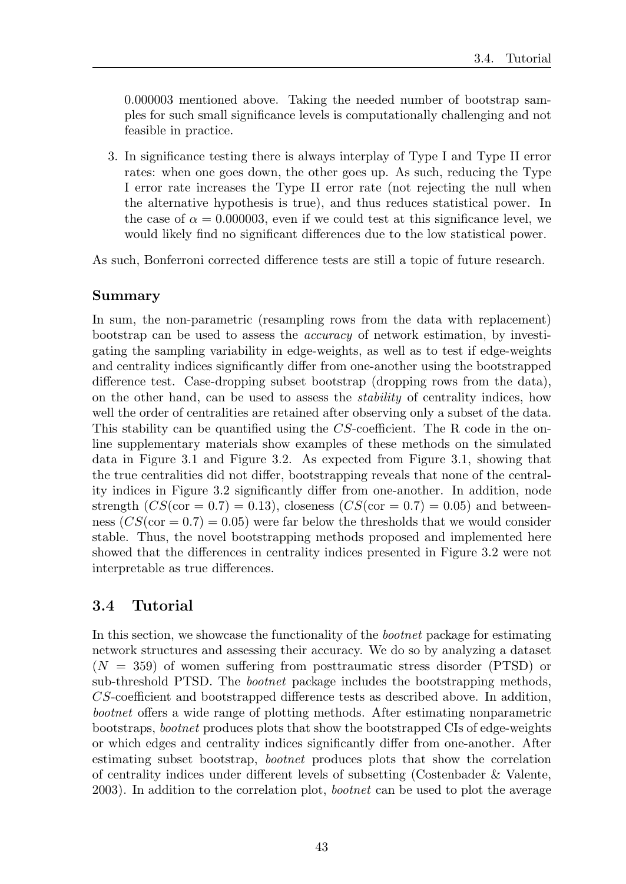0*.*000003 mentioned above. Taking the needed number of bootstrap samples for such small significance levels is computationally challenging and not feasible in practice.

3. In significance testing there is always interplay of Type I and Type II error rates: when one goes down, the other goes up. As such, reducing the Type I error rate increases the Type II error rate (not rejecting the null when the alternative hypothesis is true), and thus reduces statistical power. In the case of  $\alpha = 0.000003$ , even if we could test at this significance level, we would likely find no significant differences due to the low statistical power.

As such, Bonferroni corrected difference tests are still a topic of future research.

## Summary

In sum, the non-parametric (resampling rows from the data with replacement) bootstrap can be used to assess the *accuracy* of network estimation, by investigating the sampling variability in edge-weights, as well as to test if edge-weights and centrality indices significantly differ from one-another using the bootstrapped difference test. Case-dropping subset bootstrap (dropping rows from the data), on the other hand, can be used to assess the *stability* of centrality indices, how well the order of centralities are retained after observing only a subset of the data. This stability can be quantified using the *CS*-coefficient. The R code in the online supplementary materials show examples of these methods on the simulated data in Figure 3.1 and Figure 3.2. As expected from Figure 3.1, showing that the true centralities did not differ, bootstrapping reveals that none of the centrality indices in Figure 3.2 significantly differ from one-another. In addition, node strength  $(CS(\text{cor} = 0.7) = 0.13)$ , closeness  $(CS(\text{cor} = 0.7) = 0.05)$  and betweenness  $(CS(\text{cor} = 0.7) = 0.05)$  were far below the thresholds that we would consider stable. Thus, the novel bootstrapping methods proposed and implemented here showed that the differences in centrality indices presented in Figure 3.2 were not interpretable as true differences.

# 3.4 Tutorial

In this section, we showcase the functionality of the *bootnet* package for estimating network structures and assessing their accuracy. We do so by analyzing a dataset  $(N = 359)$  of women suffering from posttraumatic stress disorder (PTSD) or sub-threshold PTSD. The *bootnet* package includes the bootstrapping methods, *CS*-coefficient and bootstrapped difference tests as described above. In addition, *bootnet* offers a wide range of plotting methods. After estimating nonparametric bootstraps, *bootnet* produces plots that show the bootstrapped CIs of edge-weights or which edges and centrality indices significantly differ from one-another. After estimating subset bootstrap, *bootnet* produces plots that show the correlation of centrality indices under different levels of subsetting (Costenbader  $\&$  Valente, 2003). In addition to the correlation plot, *bootnet* can be used to plot the average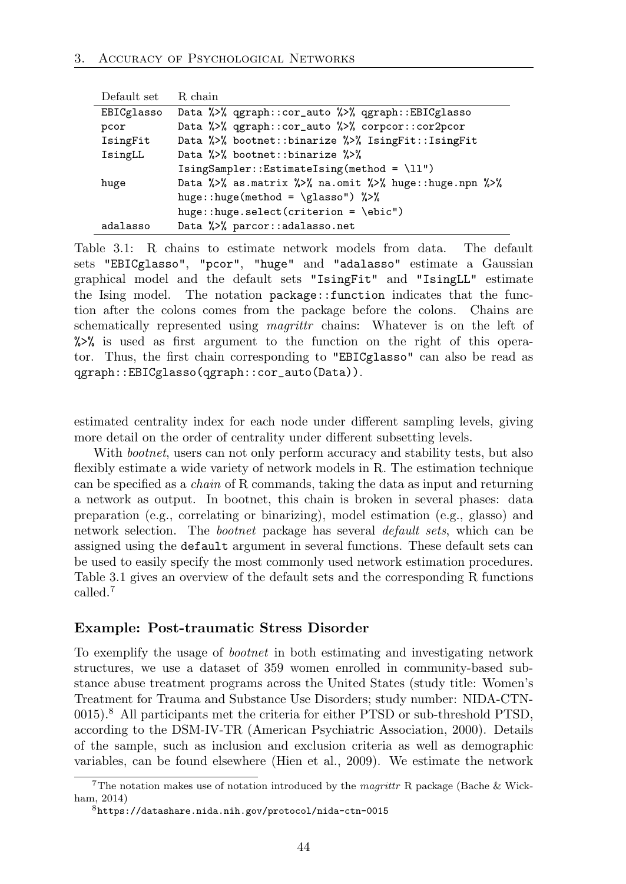| Default set | R chain                                                                                                                                             |
|-------------|-----------------------------------------------------------------------------------------------------------------------------------------------------|
| EBICglasso  | Data $\frac{1}{2}$ , ggraph::cor_auto $\frac{1}{2}$ , ggraph::EBICglasso                                                                            |
| pcor        | Data $\frac{1}{2}$ , ggraph::cor_auto $\frac{1}{2}$ , corpcor::cor2pcor                                                                             |
| IsingFit    | Data %>% bootnet::binarize %>% IsingFit::IsingFit                                                                                                   |
| IsingLL     | Data %>% bootnet::binarize %>%                                                                                                                      |
|             | $IsingSampler::EstimateIsing(method = \11")$                                                                                                        |
| huge        | Data $\frac{1}{2}$ , $\frac{1}{2}$ as matrix $\frac{1}{2}$ , $\frac{1}{2}$ na. omit $\frac{1}{2}$ , $\frac{1}{2}$ huge: : huge. npn $\frac{1}{2}$ , |
|             | huge::huge(method = \glasso") $\frac{2}{3}$                                                                                                         |
|             | huge::huge.select(criterion = \ebic")                                                                                                               |
| adalasso    | Data %>% parcor::adalasso.net                                                                                                                       |

Table 3.1: R chains to estimate network models from data. The default sets "EBICglasso", "pcor", "huge" and "adalasso" estimate a Gaussian graphical model and the default sets "IsingFit" and "IsingLL" estimate the Ising model. The notation package::function indicates that the function after the colons comes from the package before the colons. Chains are schematically represented using *magrittr* chains: Whatever is on the left of %>% is used as first argument to the function on the right of this operator. Thus, the first chain corresponding to "EBICglasso" can also be read as qgraph::EBICglasso(qgraph::cor\_auto(Data)).

estimated centrality index for each node under different sampling levels, giving more detail on the order of centrality under different subsetting levels.

With *bootnet*, users can not only perform accuracy and stability tests, but also flexibly estimate a wide variety of network models in R. The estimation technique can be specified as a *chain* of R commands, taking the data as input and returning a network as output. In bootnet, this chain is broken in several phases: data preparation (e.g., correlating or binarizing), model estimation (e.g., glasso) and network selection. The *bootnet* package has several *default sets*, which can be assigned using the default argument in several functions. These default sets can be used to easily specify the most commonly used network estimation procedures. Table 3.1 gives an overview of the default sets and the corresponding R functions called<sup>7</sup>

#### Example: Post-traumatic Stress Disorder

To exemplify the usage of *bootnet* in both estimating and investigating network structures, we use a dataset of 359 women enrolled in community-based substance abuse treatment programs across the United States (study title: Women's Treatment for Trauma and Substance Use Disorders; study number: NIDA-CTN-0015).<sup>8</sup> All participants met the criteria for either PTSD or sub-threshold PTSD, according to the DSM-IV-TR (American Psychiatric Association, 2000). Details of the sample, such as inclusion and exclusion criteria as well as demographic variables, can be found elsewhere (Hien et al., 2009). We estimate the network

<sup>7</sup>The notation makes use of notation introduced by the *magrittr* R package (Bache & Wickham, 2014)

<sup>8</sup>https://datashare.nida.nih.gov/protocol/nida-ctn-0015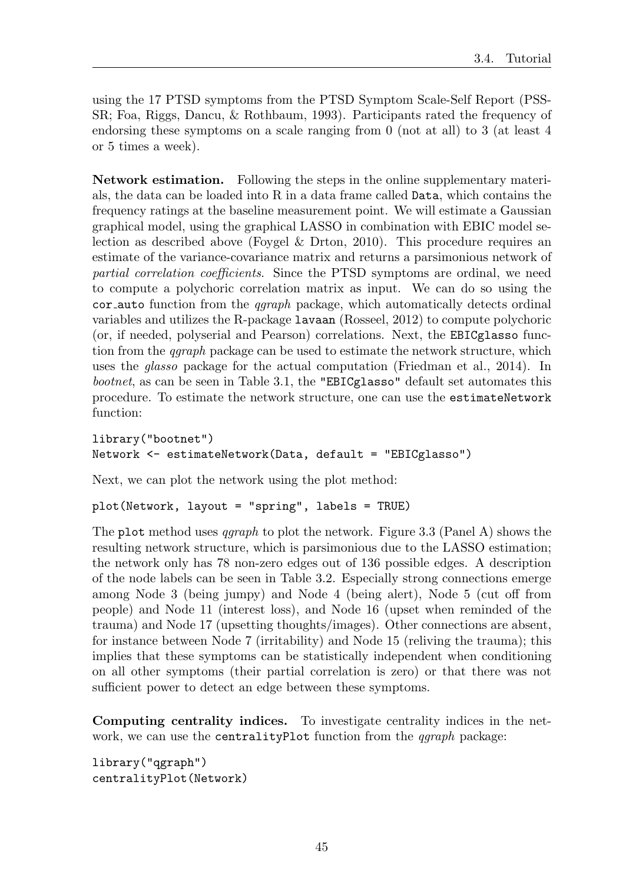using the 17 PTSD symptoms from the PTSD Symptom Scale-Self Report (PSS-SR; Foa, Riggs, Dancu, & Rothbaum, 1993). Participants rated the frequency of endorsing these symptoms on a scale ranging from 0 (not at all) to 3 (at least 4 or 5 times a week).

Network estimation. Following the steps in the online supplementary materials, the data can be loaded into  $R$  in a data frame called  $Data$ , which contains the frequency ratings at the baseline measurement point. We will estimate a Gaussian graphical model, using the graphical LASSO in combination with EBIC model selection as described above (Foygel & Drton, 2010). This procedure requires an estimate of the variance-covariance matrix and returns a parsimonious network of *partial correlation coefficients*. Since the PTSD symptoms are ordinal, we need to compute a polychoric correlation matrix as input. We can do so using the cor auto function from the *qgraph* package, which automatically detects ordinal variables and utilizes the R-package lavaan (Rosseel, 2012) to compute polychoric (or, if needed, polyserial and Pearson) correlations. Next, the EBICglasso function from the *qgraph* package can be used to estimate the network structure, which uses the *glasso* package for the actual computation (Friedman et al., 2014). In *bootnet*, as can be seen in Table 3.1, the "EBICglasso" default set automates this procedure. To estimate the network structure, one can use the estimateNetwork function:

```
library("bootnet")
Network <- estimateNetwork(Data, default = "EBICglasso")
```
Next, we can plot the network using the plot method:

plot(Network, layout = "spring", labels = TRUE)

The plot method uses *qgraph* to plot the network. Figure 3.3 (Panel A) shows the resulting network structure, which is parsimonious due to the LASSO estimation; the network only has 78 non-zero edges out of 136 possible edges. A description of the node labels can be seen in Table 3.2. Especially strong connections emerge among Node  $3$  (being jumpy) and Node  $4$  (being alert), Node  $5$  (cut off from people) and Node 11 (interest loss), and Node 16 (upset when reminded of the trauma) and Node 17 (upsetting thoughts/images). Other connections are absent, for instance between Node 7 (irritability) and Node 15 (reliving the trauma); this implies that these symptoms can be statistically independent when conditioning on all other symptoms (their partial correlation is zero) or that there was not sufficient power to detect an edge between these symptoms.

Computing centrality indices. To investigate centrality indices in the network, we can use the centralityPlot function from the *qgraph* package:

```
library("qgraph")
centralityPlot(Network)
```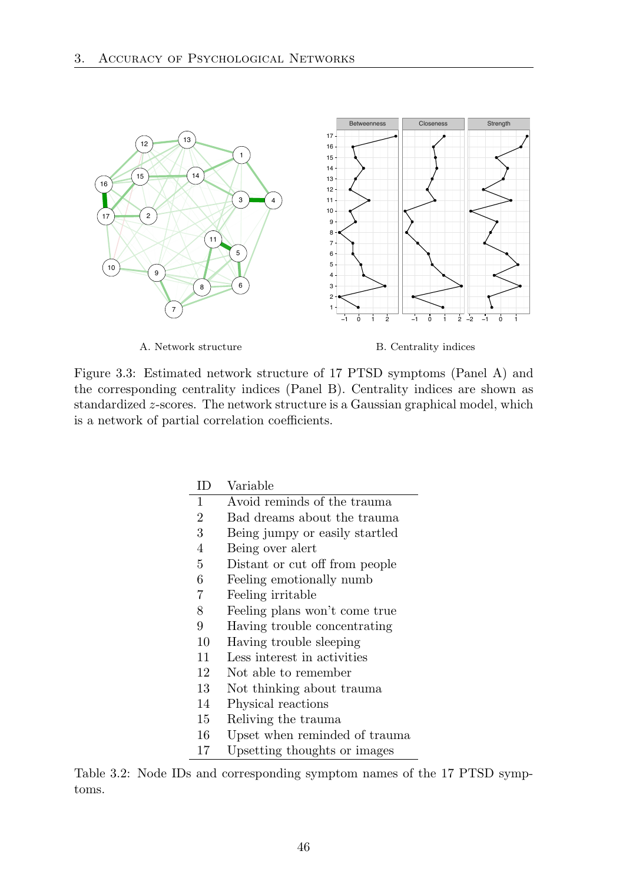

A. Network structure

B. Centrality indices

Figure 3.3: Estimated network structure of 17 PTSD symptoms (Panel A) and the corresponding centrality indices (Panel B). Centrality indices are shown as standardized *z*-scores. The network structure is a Gaussian graphical model, which is a network of partial correlation coefficients.

| ΙD             | Variable                       |
|----------------|--------------------------------|
| $\overline{1}$ | Avoid reminds of the trauma    |
| $\overline{2}$ | Bad dreams about the trauma    |
| 3              | Being jumpy or easily startled |
| 4              | Being over a lert              |
| 5              | Distant or cut off from people |
| 6              | Feeling emotionally numb       |
| 7              | Feeling irritable              |
| 8              | Feeling plans won't come true  |
| 9              | Having trouble concentrating   |
| 10             | Having trouble sleeping        |
| 11             | Less interest in activities    |
| 12             | Not able to remember           |
| 13             | Not thinking about trauma      |
| 14             | Physical reactions             |
| 15             | Reliving the trauma            |
| 16             | Upset when reminded of trauma  |
| 17             | Upsetting thoughts or images   |

Table 3.2: Node IDs and corresponding symptom names of the 17 PTSD symptoms.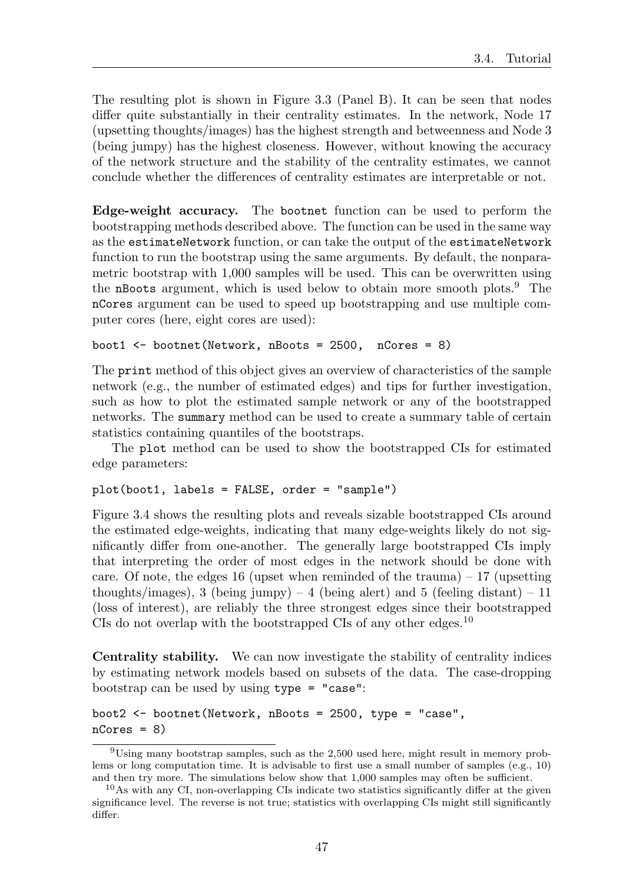The resulting plot is shown in Figure 3.3 (Panel B). It can be seen that nodes differ quite substantially in their centrality estimates. In the network, Node 17 (upsetting thoughts/images) has the highest strength and betweenness and Node 3 (being jumpy) has the highest closeness. However, without knowing the accuracy of the network structure and the stability of the centrality estimates, we cannot conclude whether the differences of centrality estimates are interpretable or not.

Edge-weight accuracy. The bootnet function can be used to perform the bootstrapping methods described above. The function can be used in the same way as the estimateNetwork function, or can take the output of the estimateNetwork function to run the bootstrap using the same arguments. By default, the nonparametric bootstrap with 1*,*000 samples will be used. This can be overwritten using the nBoots argument, which is used below to obtain more smooth plots.<sup>9</sup> The nCores argument can be used to speed up bootstrapping and use multiple computer cores (here, eight cores are used):

```
boot1 <- bootnet(Network, nBoots = 2500, nCores = 8)
```
The print method of this object gives an overview of characteristics of the sample network (e.g., the number of estimated edges) and tips for further investigation, such as how to plot the estimated sample network or any of the bootstrapped networks. The summary method can be used to create a summary table of certain statistics containing quantiles of the bootstraps.

The plot method can be used to show the bootstrapped CIs for estimated edge parameters:

plot(boot1, labels = FALSE, order = "sample")

Figure 3.4 shows the resulting plots and reveals sizable bootstrapped CIs around the estimated edge-weights, indicating that many edge-weights likely do not significantly differ from one-another. The generally large bootstrapped CIs imply that interpreting the order of most edges in the network should be done with care. Of note, the edges 16 (upset when reminded of the trauma)  $-17$  (upsetting thoughts/images), 3 (being jumpy) – 4 (being alert) and 5 (feeling distant) – 11 (loss of interest), are reliably the three strongest edges since their bootstrapped CIs do not overlap with the bootstrapped CIs of any other edges.<sup>10</sup>

Centrality stability. We can now investigate the stability of centrality indices by estimating network models based on subsets of the data. The case-dropping bootstrap can be used by using type = "case":

```
boot2 <- bootnet(Network, nBoots = 2500, type = "case",
nCores = 8
```
<sup>9</sup>Using many bootstrap samples, such as the 2*,*500 used here, might result in memory problems or long computation time. It is advisable to first use a small number of samples (e.g., 10) and then try more. The simulations below show that 1*,*000 samples may often be sufficient.

 $10\,\text{As}$  with any CI, non-overlapping CIs indicate two statistics significantly differ at the given significance level. The reverse is not true; statistics with overlapping CIs might still significantly differ.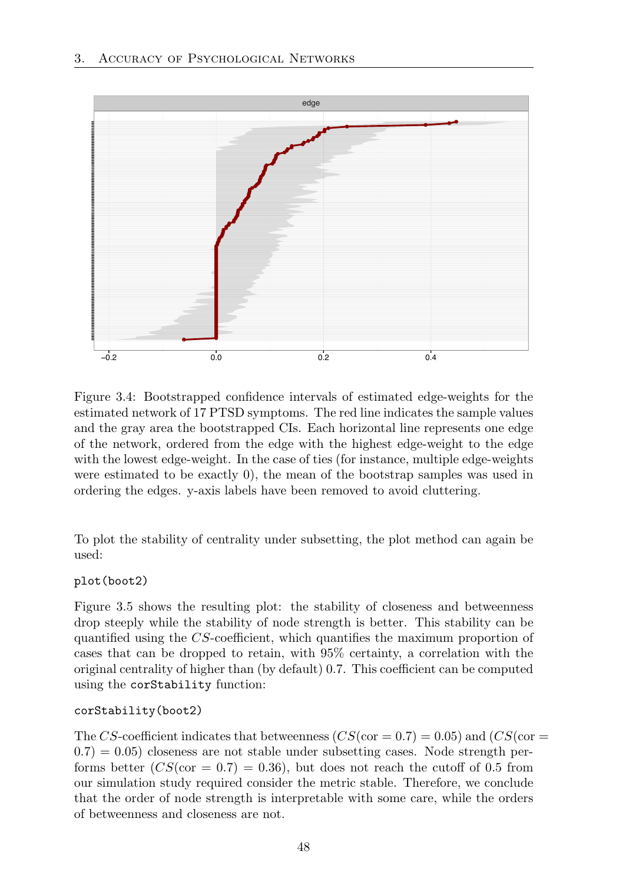

Figure 3.4: Bootstrapped confidence intervals of estimated edge-weights for the estimated network of 17 PTSD symptoms. The red line indicates the sample values and the gray area the bootstrapped CIs. Each horizontal line represents one edge of the network, ordered from the edge with the highest edge-weight to the edge with the lowest edge-weight. In the case of ties (for instance, multiple edge-weights were estimated to be exactly 0), the mean of the bootstrap samples was used in ordering the edges. y-axis labels have been removed to avoid cluttering.

To plot the stability of centrality under subsetting, the plot method can again be used:

#### plot(boot2)

Figure 3.5 shows the resulting plot: the stability of closeness and betweenness drop steeply while the stability of node strength is better. This stability can be quantified using the *CS*-coefficient, which quantifies the maximum proportion of cases that can be dropped to retain, with 95% certainty, a correlation with the original centrality of higher than (by default) 0*.*7. This coefficient can be computed using the corStability function:

#### corStability(boot2)

The *CS*-coefficient indicates that betweenness  $(CS(\text{cor} = 0.7) = 0.05)$  and  $(CS(\text{cor} =$  $(0.7) = 0.05$  closeness are not stable under subsetting cases. Node strength performs better  $(CS(\text{cor} = 0.7) = 0.36)$ , but does not reach the cutoff of 0.5 from our simulation study required consider the metric stable. Therefore, we conclude that the order of node strength is interpretable with some care, while the orders of betweenness and closeness are not.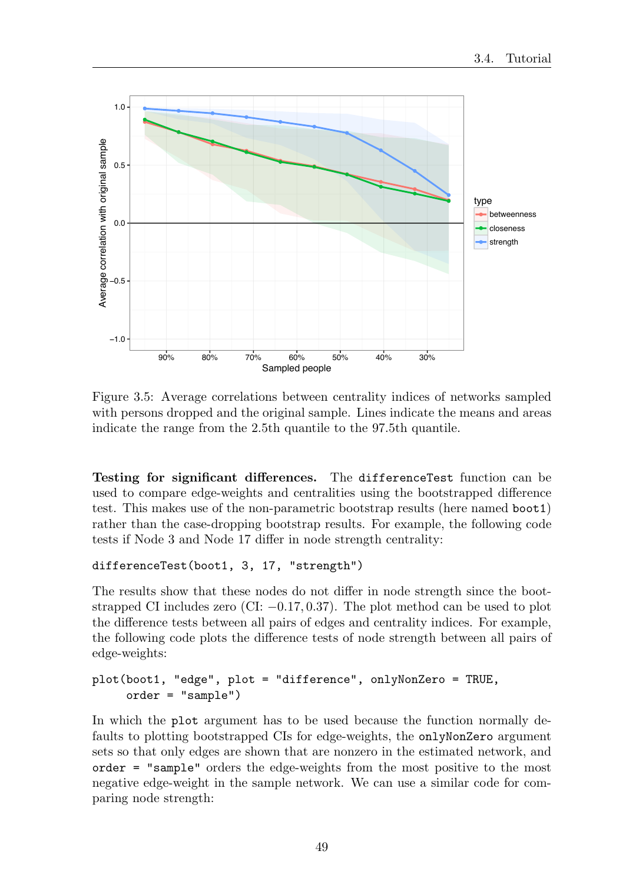

Figure 3.5: Average correlations between centrality indices of networks sampled with persons dropped and the original sample. Lines indicate the means and areas indicate the range from the 2*.*5th quantile to the 97*.*5th quantile.

Testing for significant differences. The differenceTest function can be used to compare edge-weights and centralities using the bootstrapped difference test. This makes use of the non-parametric bootstrap results (here named boot1) rather than the case-dropping bootstrap results. For example, the following code tests if Node 3 and Node 17 differ in node strength centrality:

#### differenceTest(boot1, 3, 17, "strength")

The results show that these nodes do not differ in node strength since the bootstrapped CI includes zero (CI: *−*0*.*17*,* 0*.*37). The plot method can be used to plot the difference tests between all pairs of edges and centrality indices. For example, the following code plots the difference tests of node strength between all pairs of edge-weights:

## plot(boot1, "edge", plot = "difference", onlyNonZero = TRUE, order = "sample")

In which the plot argument has to be used because the function normally defaults to plotting bootstrapped CIs for edge-weights, the onlyNonZero argument sets so that only edges are shown that are nonzero in the estimated network, and order = "sample" orders the edge-weights from the most positive to the most negative edge-weight in the sample network. We can use a similar code for comparing node strength: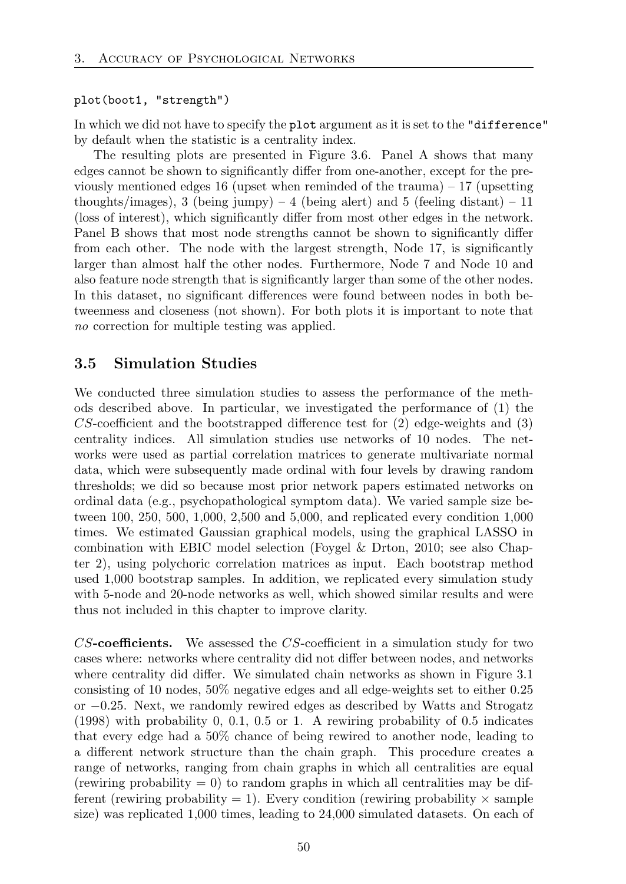#### plot(boot1, "strength")

In which we did not have to specify the plot argument as it is set to the "difference" by default when the statistic is a centrality index.

The resulting plots are presented in Figure 3.6. Panel A shows that many edges cannot be shown to significantly differ from one-another, except for the previously mentioned edges 16 (upset when reminded of the trauma)  $-17$  (upsetting thoughts/images), 3 (being jumpy)  $-4$  (being alert) and 5 (feeling distant)  $-11$ (loss of interest), which significantly differ from most other edges in the network. Panel B shows that most node strengths cannot be shown to significantly differ from each other. The node with the largest strength, Node 17, is significantly larger than almost half the other nodes. Furthermore, Node 7 and Node 10 and also feature node strength that is significantly larger than some of the other nodes. In this dataset, no significant differences were found between nodes in both betweenness and closeness (not shown). For both plots it is important to note that *no* correction for multiple testing was applied.

# 3.5 Simulation Studies

We conducted three simulation studies to assess the performance of the methods described above. In particular, we investigated the performance of (1) the  $CS$ -coefficient and the bootstrapped difference test for  $(2)$  edge-weights and  $(3)$ centrality indices. All simulation studies use networks of 10 nodes. The networks were used as partial correlation matrices to generate multivariate normal data, which were subsequently made ordinal with four levels by drawing random thresholds; we did so because most prior network papers estimated networks on ordinal data (e.g., psychopathological symptom data). We varied sample size between 100, 250, 500, 1*,*000, 2*,*500 and 5*,*000, and replicated every condition 1,000 times. We estimated Gaussian graphical models, using the graphical LASSO in combination with EBIC model selection (Foygel & Drton, 2010; see also Chapter 2), using polychoric correlation matrices as input. Each bootstrap method used 1*,*000 bootstrap samples. In addition, we replicated every simulation study with 5-node and 20-node networks as well, which showed similar results and were thus not included in this chapter to improve clarity.

*CS*-coefficients. We assessed the *CS*-coefficient in a simulation study for two cases where: networks where centrality did not differ between nodes, and networks where centrality did differ. We simulated chain networks as shown in Figure 3.1 consisting of 10 nodes, 50% negative edges and all edge-weights set to either 0*.*25 or *−*0*.*25. Next, we randomly rewired edges as described by Watts and Strogatz (1998) with probability 0, 0*.*1, 0*.*5 or 1. A rewiring probability of 0*.*5 indicates that every edge had a 50% chance of being rewired to another node, leading to a different network structure than the chain graph. This procedure creates a range of networks, ranging from chain graphs in which all centralities are equal (rewiring probability  $= 0$ ) to random graphs in which all centralities may be different (rewiring probability  $= 1$ ). Every condition (rewiring probability  $\times$  sample size) was replicated 1*,*000 times, leading to 24*,*000 simulated datasets. On each of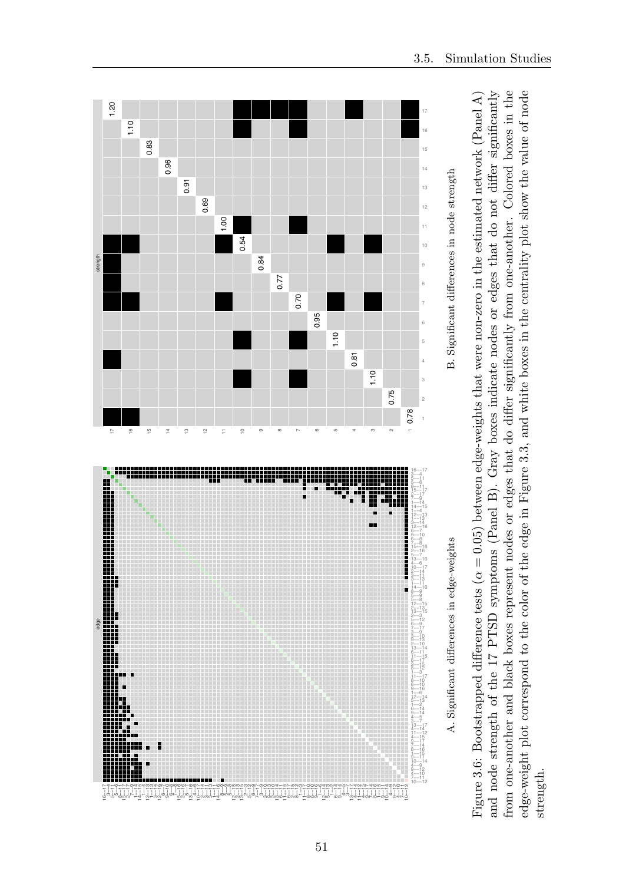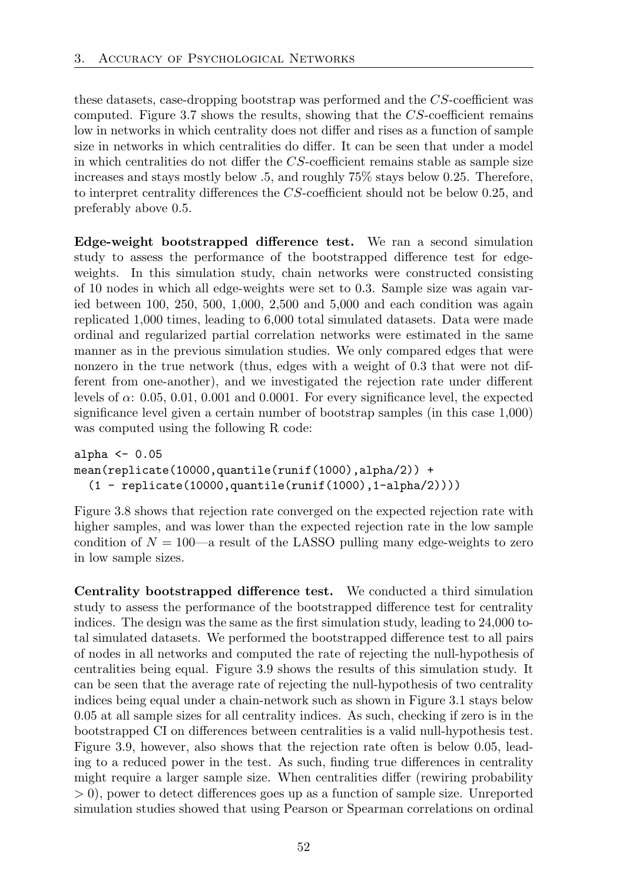these datasets, case-dropping bootstrap was performed and the *CS*-coefficient was computed. Figure 3.7 shows the results, showing that the *CS*-coefficient remains low in networks in which centrality does not differ and rises as a function of sample size in networks in which centralities do differ. It can be seen that under a model in which centralities do not differ the  $CS$ -coefficient remains stable as sample size increases and stays mostly below .5, and roughly 75% stays below 0*.*25. Therefore, to interpret centrality differences the *CS*-coefficient should not be below 0.25, and preferably above 0*.*5.

Edge-weight bootstrapped difference test. We ran a second simulation study to assess the performance of the bootstrapped difference test for edgeweights. In this simulation study, chain networks were constructed consisting of 10 nodes in which all edge-weights were set to 0*.*3. Sample size was again varied between 100, 250, 500, 1*,*000, 2*,*500 and 5*,*000 and each condition was again replicated 1*,*000 times, leading to 6*,*000 total simulated datasets. Data were made ordinal and regularized partial correlation networks were estimated in the same manner as in the previous simulation studies. We only compared edges that were nonzero in the true network (thus, edges with a weight of 0*.*3 that were not different from one-another), and we investigated the rejection rate under different levels of  $\alpha$ : 0.05, 0.01, 0.001 and 0.0001. For every significance level, the expected significance level given a certain number of bootstrap samples (in this case 1*,*000) was computed using the following R code:

```
alpha <-0.05mean(replicate(10000,quantile(runif(1000),alpha/2)) +
  (1 - \text{replicate}(10000, \text{quantile}(\text{runif}(1000), 1-\text{alpha}/2))))
```
Figure 3.8 shows that rejection rate converged on the expected rejection rate with higher samples, and was lower than the expected rejection rate in the low sample condition of  $N = 100$ —a result of the LASSO pulling many edge-weights to zero in low sample sizes.

Centrality bootstrapped difference test. We conducted a third simulation study to assess the performance of the bootstrapped difference test for centrality indices. The design was the same as the first simulation study, leading to 24*,*000 total simulated datasets. We performed the bootstrapped difference test to all pairs of nodes in all networks and computed the rate of rejecting the null-hypothesis of centralities being equal. Figure 3.9 shows the results of this simulation study. It can be seen that the average rate of rejecting the null-hypothesis of two centrality indices being equal under a chain-network such as shown in Figure 3.1 stays below 0.05 at all sample sizes for all centrality indices. As such, checking if zero is in the bootstrapped CI on differences between centralities is a valid null-hypothesis test. Figure 3.9, however, also shows that the rejection rate often is below 0*.*05, leading to a reduced power in the test. As such, finding true differences in centrality might require a larger sample size. When centralities differ (rewiring probability  $>$  0), power to detect differences goes up as a function of sample size. Unreported simulation studies showed that using Pearson or Spearman correlations on ordinal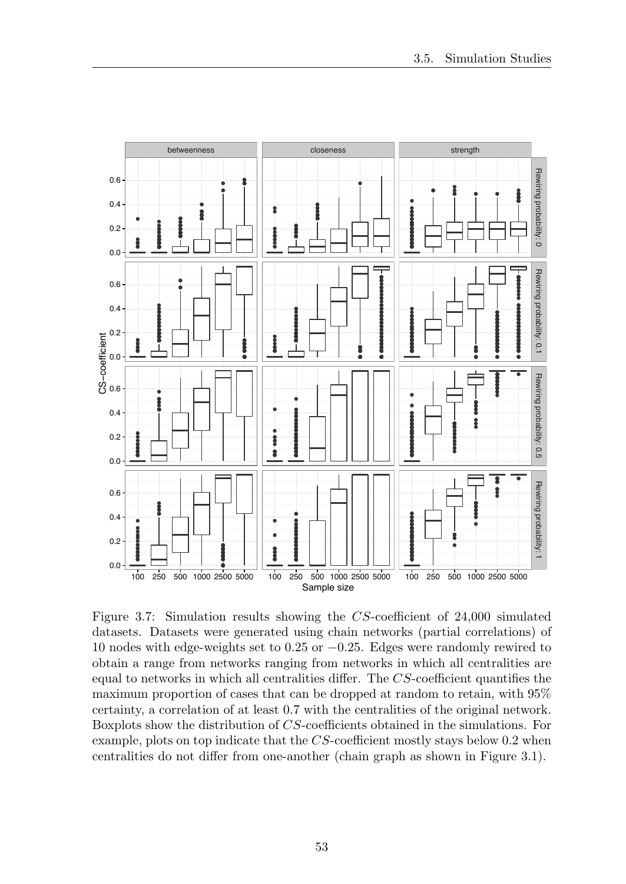

Figure 3.7: Simulation results showing the *CS*-coefficient of 24*,*000 simulated datasets. Datasets were generated using chain networks (partial correlations) of 10 nodes with edge-weights set to 0*.*25 or *−*0*.*25. Edges were randomly rewired to obtain a range from networks ranging from networks in which all centralities are equal to networks in which all centralities differ. The *CS*-coefficient quantifies the maximum proportion of cases that can be dropped at random to retain, with 95% certainty, a correlation of at least 0*.*7 with the centralities of the original network. Boxplots show the distribution of *CS*-coefficients obtained in the simulations. For example, plots on top indicate that the *CS*-coefficient mostly stays below 0*.*2 when centralities do not differ from one-another (chain graph as shown in Figure 3.1).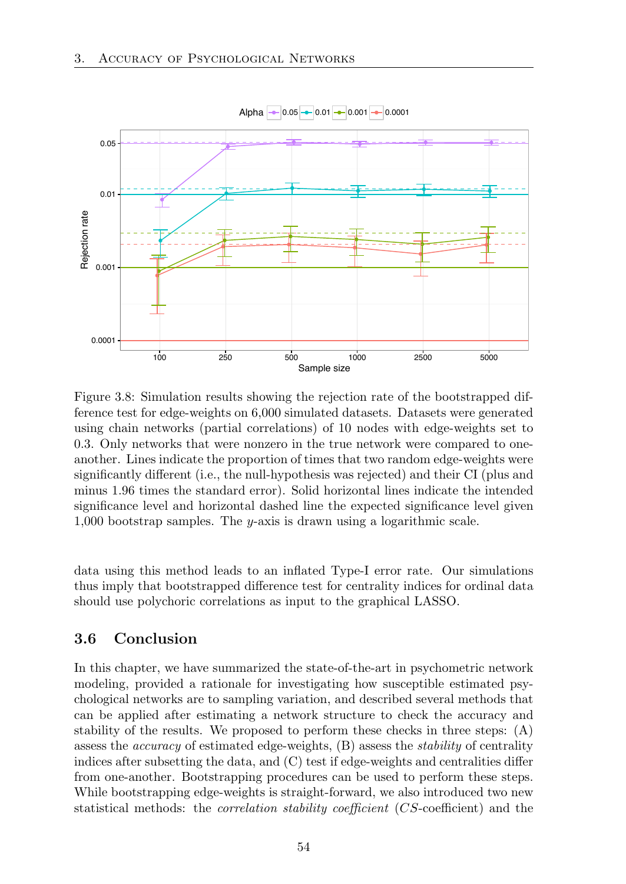

Figure 3.8: Simulation results showing the rejection rate of the bootstrapped difference test for edge-weights on 6*,*000 simulated datasets. Datasets were generated using chain networks (partial correlations) of 10 nodes with edge-weights set to 0*.*3. Only networks that were nonzero in the true network were compared to oneanother. Lines indicate the proportion of times that two random edge-weights were significantly different (i.e., the null-hypothesis was rejected) and their CI (plus and minus 1*.*96 times the standard error). Solid horizontal lines indicate the intended significance level and horizontal dashed line the expected significance level given 1*,*000 bootstrap samples. The *y*-axis is drawn using a logarithmic scale.

data using this method leads to an inflated Type-I error rate. Our simulations thus imply that bootstrapped difference test for centrality indices for ordinal data should use polychoric correlations as input to the graphical LASSO.

# 3.6 Conclusion

In this chapter, we have summarized the state-of-the-art in psychometric network modeling, provided a rationale for investigating how susceptible estimated psychological networks are to sampling variation, and described several methods that can be applied after estimating a network structure to check the accuracy and stability of the results. We proposed to perform these checks in three steps: (A) assess the *accuracy* of estimated edge-weights, (B) assess the *stability* of centrality indices after subsetting the data, and  $(C)$  test if edge-weights and centralities differ from one-another. Bootstrapping procedures can be used to perform these steps. While bootstrapping edge-weights is straight-forward, we also introduced two new statistical methods: the *correlation stability coefficient* (*CS*-coefficient) and the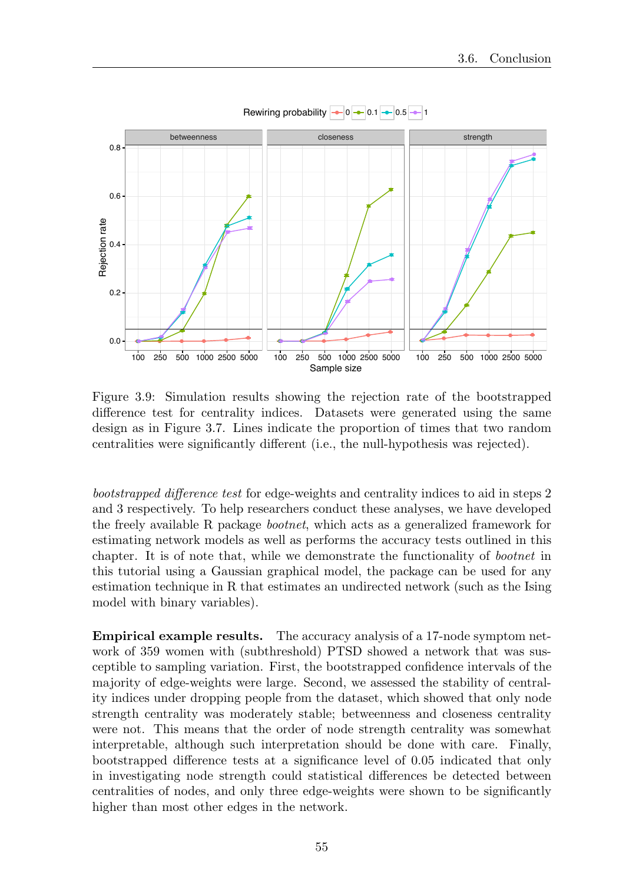

Figure 3.9: Simulation results showing the rejection rate of the bootstrapped difference test for centrality indices. Datasets were generated using the same design as in Figure 3.7. Lines indicate the proportion of times that two random centralities were significantly different (i.e., the null-hypothesis was rejected).

*bootstrapped difference test* for edge-weights and centrality indices to aid in steps 2 and 3 respectively. To help researchers conduct these analyses, we have developed the freely available R package *bootnet*, which acts as a generalized framework for estimating network models as well as performs the accuracy tests outlined in this chapter. It is of note that, while we demonstrate the functionality of *bootnet* in this tutorial using a Gaussian graphical model, the package can be used for any estimation technique in R that estimates an undirected network (such as the Ising model with binary variables).

Empirical example results. The accuracy analysis of a 17-node symptom network of 359 women with (subthreshold) PTSD showed a network that was susceptible to sampling variation. First, the bootstrapped confidence intervals of the majority of edge-weights were large. Second, we assessed the stability of centrality indices under dropping people from the dataset, which showed that only node strength centrality was moderately stable; betweenness and closeness centrality were not. This means that the order of node strength centrality was somewhat interpretable, although such interpretation should be done with care. Finally, bootstrapped difference tests at a significance level of 0.05 indicated that only in investigating node strength could statistical differences be detected between centralities of nodes, and only three edge-weights were shown to be significantly higher than most other edges in the network.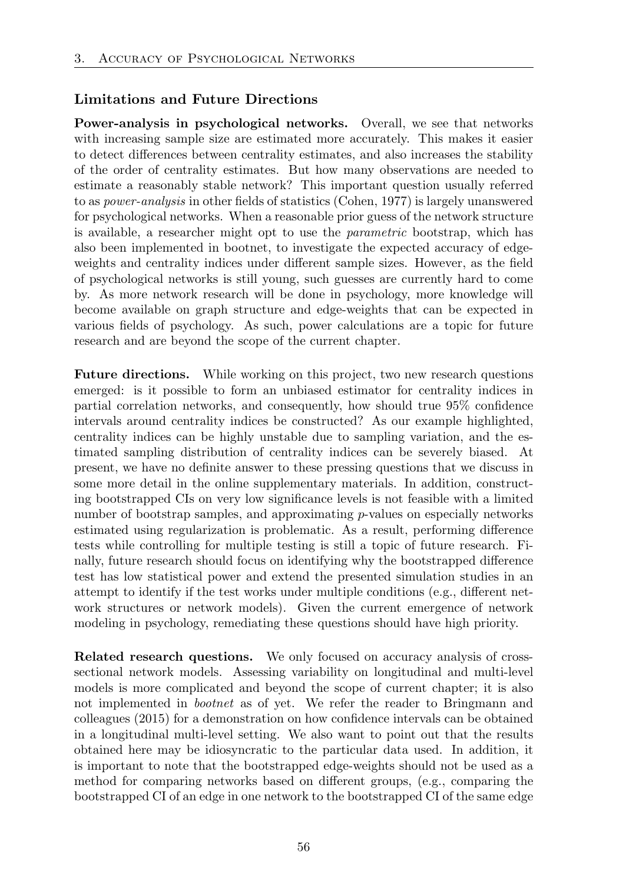## Limitations and Future Directions

Power-analysis in psychological networks. Overall, we see that networks with increasing sample size are estimated more accurately. This makes it easier to detect differences between centrality estimates, and also increases the stability of the order of centrality estimates. But how many observations are needed to estimate a reasonably stable network? This important question usually referred to as *power-analysis* in other fields of statistics (Cohen, 1977) is largely unanswered for psychological networks. When a reasonable prior guess of the network structure is available, a researcher might opt to use the *parametric* bootstrap, which has also been implemented in bootnet, to investigate the expected accuracy of edgeweights and centrality indices under different sample sizes. However, as the field of psychological networks is still young, such guesses are currently hard to come by. As more network research will be done in psychology, more knowledge will become available on graph structure and edge-weights that can be expected in various fields of psychology. As such, power calculations are a topic for future research and are beyond the scope of the current chapter.

Future directions. While working on this project, two new research questions emerged: is it possible to form an unbiased estimator for centrality indices in partial correlation networks, and consequently, how should true 95% confidence intervals around centrality indices be constructed? As our example highlighted, centrality indices can be highly unstable due to sampling variation, and the estimated sampling distribution of centrality indices can be severely biased. At present, we have no definite answer to these pressing questions that we discuss in some more detail in the online supplementary materials. In addition, constructing bootstrapped CIs on very low significance levels is not feasible with a limited number of bootstrap samples, and approximating *p*-values on especially networks estimated using regularization is problematic. As a result, performing difference tests while controlling for multiple testing is still a topic of future research. Finally, future research should focus on identifying why the bootstrapped difference test has low statistical power and extend the presented simulation studies in an attempt to identify if the test works under multiple conditions (e.g., different network structures or network models). Given the current emergence of network modeling in psychology, remediating these questions should have high priority.

Related research questions. We only focused on accuracy analysis of crosssectional network models. Assessing variability on longitudinal and multi-level models is more complicated and beyond the scope of current chapter; it is also not implemented in *bootnet* as of yet. We refer the reader to Bringmann and colleagues (2015) for a demonstration on how confidence intervals can be obtained in a longitudinal multi-level setting. We also want to point out that the results obtained here may be idiosyncratic to the particular data used. In addition, it is important to note that the bootstrapped edge-weights should not be used as a method for comparing networks based on different groups, (e.g., comparing the bootstrapped CI of an edge in one network to the bootstrapped CI of the same edge